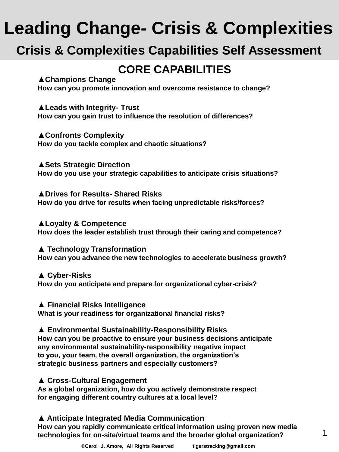## **Leading Change- Crisis & Complexities**

## **Crisis & Complexities Capabilities Self Assessment**

## **CORE CAPABILITIES**

#### **▲Champions Change**

**How can you promote innovation and overcome resistance to change?**

#### **▲Leads with Integrity- Trust**

**How can you gain trust to influence the resolution of differences?**

#### **▲Confronts Complexity**

**How do you tackle complex and chaotic situations?**

**▲Sets Strategic Direction How do you use your strategic capabilities to anticipate crisis situations?**

**▲Drives for Results- Shared Risks How do you drive for results when facing unpredictable risks/forces?**

**▲Loyalty & Competence How does the leader establish trust through their caring and competence?**

#### **▲ Technology Transformation**

**How can you advance the new technologies to accelerate business growth?**

#### **▲ Cyber-Risks**

**How do you anticipate and prepare for organizational cyber-crisis?**

#### **▲ Financial Risks Intelligence**

**What is your readiness for organizational financial risks?** 

**▲ Environmental Sustainability-Responsibility Risks How can you be proactive to ensure your business decisions anticipate any environmental sustainability-responsibility negative impact to you, your team, the overall organization, the organization's strategic business partners and especially customers?**

#### **▲ Cross-Cultural Engagement**

**As a global organization, how do you actively demonstrate respect for engaging different country cultures at a local level?**

### **▲ Anticipate Integrated Media Communication**

**How can you rapidly communicate critical information using proven new media technologies for on-site/virtual teams and the broader global organization?**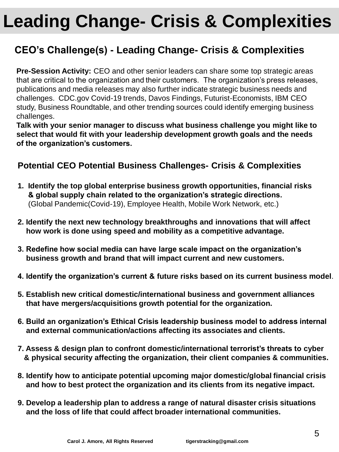# **Leading Change- Crisis & Complexities**

### **CEO's Challenge(s) - Leading Change- Crisis & Complexities**

**Pre-Session Activity:** CEO and other senior leaders can share some top strategic areas that are critical to the organization and their customers. The organization's press releases, publications and media releases may also further indicate strategic business needs and challenges. CDC.gov Covid-19 trends, Davos Findings, Futurist-Economists, IBM CEO study, Business Roundtable, and other trending sources could identify emerging business challenges.

**Talk with your senior manager to discuss what business challenge you might like to select that would fit with your leadership development growth goals and the needs of the organization's customers.**

### **Potential CEO Potential Business Challenges- Crisis & Complexities**

- **1. Identify the top global enterprise business growth opportunities, financial risks & global supply chain related to the organization's strategic directions.** (Global Pandemic(Covid-19), Employee Health, Mobile Work Network, etc.)
- **2. Identify the next new technology breakthroughs and innovations that will affect how work is done using speed and mobility as a competitive advantage.**
- **3. Redefine how social media can have large scale impact on the organization's business growth and brand that will impact current and new customers.**
- **4. Identify the organization's current & future risks based on its current business model**.
- **5. Establish new critical domestic/international business and government alliances that have mergers/acquisitions growth potential for the organization.**
- **6. Build an organization's Ethical Crisis leadership business model to address internal and external communication/actions affecting its associates and clients.**
- **7. Assess & design plan to confront domestic/international terrorist's threats to cyber & physical security affecting the organization, their client companies & communities.**
- **8. Identify how to anticipate potential upcoming major domestic/global financial crisis and how to best protect the organization and its clients from its negative impact.**
- **9. Develop a leadership plan to address a range of natural disaster crisis situations and the loss of life that could affect broader international communities.**